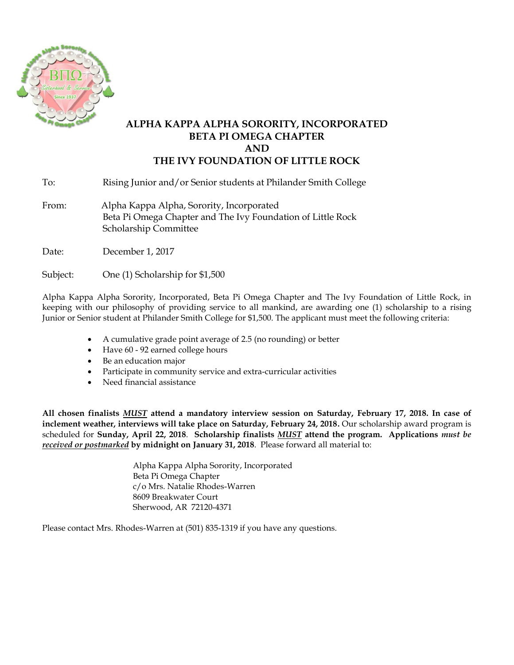

## **ALPHA KAPPA ALPHA SORORITY, INCORPORATED BETA PI OMEGA CHAPTER AND THE IVY FOUNDATION OF LITTLE ROCK**

To: Rising Junior and/or Senior students at Philander Smith College

- From: Alpha Kappa Alpha, Sorority, Incorporated Beta Pi Omega Chapter and The Ivy Foundation of Little Rock Scholarship Committee
- Date: December 1, 2017
- Subject: One (1) Scholarship for \$1,500

Alpha Kappa Alpha Sorority, Incorporated, Beta Pi Omega Chapter and The Ivy Foundation of Little Rock, in keeping with our philosophy of providing service to all mankind, are awarding one (1) scholarship to a rising Junior or Senior student at Philander Smith College for \$1,500. The applicant must meet the following criteria:

- A cumulative grade point average of 2.5 (no rounding) or better
- Have 60 92 earned college hours
- Be an education major
- Participate in community service and extra-curricular activities
- Need financial assistance

**All chosen finalists** *MUST* **attend a mandatory interview session on Saturday, February 17, 2018. In case of inclement weather, interviews will take place on Saturday, February 24, 2018.** Our scholarship award program is scheduled for **Sunday, April 22, 2018**. **Scholarship finalists** *MUST* **attend the program. Applications** *must be received or postmarked* **by midnight on January 31, 2018**. Please forward all material to:

> Alpha Kappa Alpha Sorority, Incorporated Beta Pi Omega Chapter c/o Mrs. Natalie Rhodes-Warren 8609 Breakwater Court Sherwood, AR 72120-4371

Please contact Mrs. Rhodes-Warren at (501) 835-1319 if you have any questions.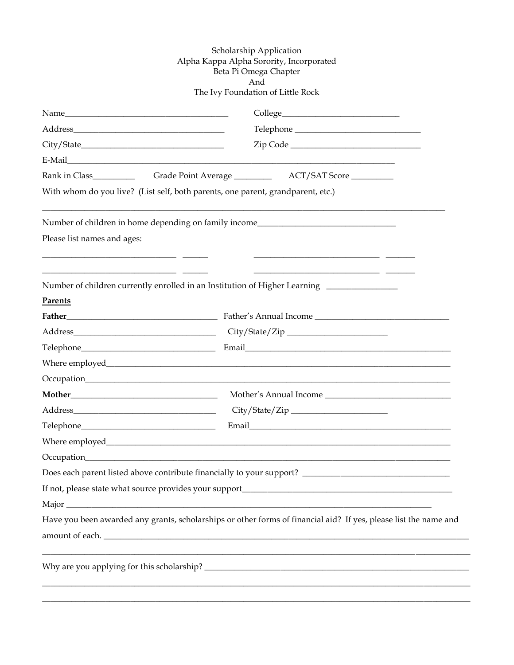# Scholarship Application<br>Alpha Kappa Alpha Sorority, Incorporated<br>Beta Pi Omega Chapter<br>And The Ivy Foundation of Little Rock

|                                                                                                                                                                                                                                                                                                                                                                                                                                                                                                                                                                                                                                          | With whom do you live? (List self, both parents, one parent, grandparent, etc.)                                                                                                                                                                |  |
|------------------------------------------------------------------------------------------------------------------------------------------------------------------------------------------------------------------------------------------------------------------------------------------------------------------------------------------------------------------------------------------------------------------------------------------------------------------------------------------------------------------------------------------------------------------------------------------------------------------------------------------|------------------------------------------------------------------------------------------------------------------------------------------------------------------------------------------------------------------------------------------------|--|
|                                                                                                                                                                                                                                                                                                                                                                                                                                                                                                                                                                                                                                          | Number of children in home depending on family income                                                                                                                                                                                          |  |
| Please list names and ages:                                                                                                                                                                                                                                                                                                                                                                                                                                                                                                                                                                                                              |                                                                                                                                                                                                                                                |  |
| <u> 1980 - Andrea Andrew Maria (b. 1980)</u>                                                                                                                                                                                                                                                                                                                                                                                                                                                                                                                                                                                             | <u> 1980 - Jan Samuel Barbara, martin da shekara 1980 - An tsara 1980 - An tsara 1980 - An tsara 1980 - An tsara</u><br><u> 1988 - Jan Barbara Barbara, martxa a shekara 1980 - Ann an t-Ann an t-Ann an t-Ann an t-Ann an t-Ann an t-Ann </u> |  |
|                                                                                                                                                                                                                                                                                                                                                                                                                                                                                                                                                                                                                                          | Number of children currently enrolled in an Institution of Higher Learning ____________                                                                                                                                                        |  |
| Parents                                                                                                                                                                                                                                                                                                                                                                                                                                                                                                                                                                                                                                  |                                                                                                                                                                                                                                                |  |
|                                                                                                                                                                                                                                                                                                                                                                                                                                                                                                                                                                                                                                          |                                                                                                                                                                                                                                                |  |
|                                                                                                                                                                                                                                                                                                                                                                                                                                                                                                                                                                                                                                          |                                                                                                                                                                                                                                                |  |
|                                                                                                                                                                                                                                                                                                                                                                                                                                                                                                                                                                                                                                          |                                                                                                                                                                                                                                                |  |
|                                                                                                                                                                                                                                                                                                                                                                                                                                                                                                                                                                                                                                          |                                                                                                                                                                                                                                                |  |
|                                                                                                                                                                                                                                                                                                                                                                                                                                                                                                                                                                                                                                          |                                                                                                                                                                                                                                                |  |
|                                                                                                                                                                                                                                                                                                                                                                                                                                                                                                                                                                                                                                          |                                                                                                                                                                                                                                                |  |
| $\large \bf Address \underline{\hspace{2cm}} \underline{\hspace{2cm}} \underline{\hspace{2cm}} \underline{\hspace{2cm}} \underline{\hspace{2cm}} \underline{\hspace{2cm}} \underline{\hspace{2cm}} \underline{\hspace{2cm}} \underline{\hspace{2cm}} \underline{\hspace{2cm}} \underline{\hspace{2cm}} \underline{\hspace{2cm}} \underline{\hspace{2cm}} \underline{\hspace{2cm}} \underline{\hspace{2cm}} \underline{\hspace{2cm}} \underline{\hspace{2cm}} \underline{\hspace{2cm}} \underline{\hspace{2cm}} \underline{\hspace{2cm}} \underline{\hspace{2cm}} \underline{\hspace{2cm}} \underline{\hspace{2cm}} \underline{\hspace{2$ |                                                                                                                                                                                                                                                |  |
|                                                                                                                                                                                                                                                                                                                                                                                                                                                                                                                                                                                                                                          |                                                                                                                                                                                                                                                |  |
|                                                                                                                                                                                                                                                                                                                                                                                                                                                                                                                                                                                                                                          |                                                                                                                                                                                                                                                |  |
|                                                                                                                                                                                                                                                                                                                                                                                                                                                                                                                                                                                                                                          |                                                                                                                                                                                                                                                |  |
|                                                                                                                                                                                                                                                                                                                                                                                                                                                                                                                                                                                                                                          | Does each parent listed above contribute financially to your support?                                                                                                                                                                          |  |
|                                                                                                                                                                                                                                                                                                                                                                                                                                                                                                                                                                                                                                          |                                                                                                                                                                                                                                                |  |
|                                                                                                                                                                                                                                                                                                                                                                                                                                                                                                                                                                                                                                          |                                                                                                                                                                                                                                                |  |
|                                                                                                                                                                                                                                                                                                                                                                                                                                                                                                                                                                                                                                          | Have you been awarded any grants, scholarships or other forms of financial aid? If yes, please list the name and                                                                                                                               |  |
|                                                                                                                                                                                                                                                                                                                                                                                                                                                                                                                                                                                                                                          | amount of each.                                                                                                                                                                                                                                |  |
|                                                                                                                                                                                                                                                                                                                                                                                                                                                                                                                                                                                                                                          |                                                                                                                                                                                                                                                |  |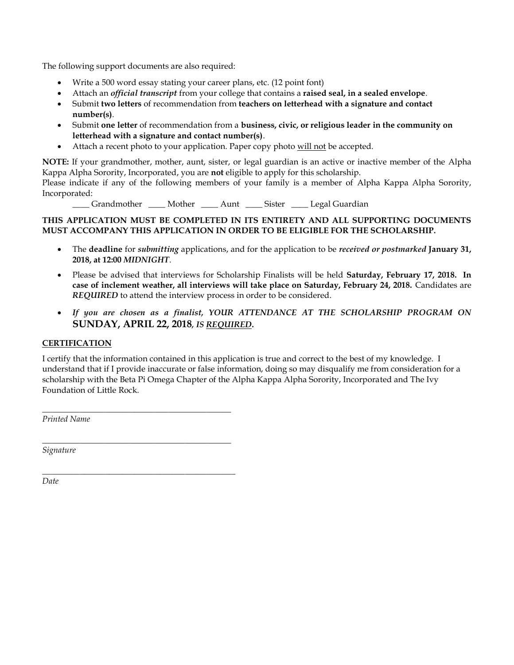The following support documents are also required:

\_\_\_\_\_\_\_\_\_\_\_\_\_\_\_\_\_\_\_\_\_\_\_\_\_\_\_\_\_\_\_\_\_\_\_\_\_\_\_\_\_\_\_\_\_

\_\_\_\_\_\_\_\_\_\_\_\_\_\_\_\_\_\_\_\_\_\_\_\_\_\_\_\_\_\_\_\_\_\_\_\_\_\_\_\_\_\_\_\_\_

\_\_\_\_\_\_\_\_\_\_\_\_\_\_\_\_\_\_\_\_\_\_\_\_\_\_\_\_\_\_\_\_\_\_\_\_\_\_\_\_\_\_\_\_\_\_

- Write a 500 word essay stating your career plans, etc. (12 point font)
- Attach an *official transcript* from your college that contains a **raised seal, in a sealed envelope**.
- Submit **two letters** of recommendation from **teachers on letterhead with a signature and contact number(s)**.
- Submit **one letter** of recommendation from a **business, civic, or religious leader in the community on letterhead with a signature and contact number(s)**.
- Attach a recent photo to your application. Paper copy photo will not be accepted.

**NOTE:** If your grandmother, mother, aunt, sister, or legal guardian is an active or inactive member of the Alpha Kappa Alpha Sorority, Incorporated, you are **not** eligible to apply for this scholarship.

Please indicate if any of the following members of your family is a member of Alpha Kappa Alpha Sorority, Incorporated:

\_\_\_\_ Grandmother \_\_\_\_ Mother \_\_\_\_ Aunt \_\_\_\_ Sister \_\_\_\_ Legal Guardian

#### **THIS APPLICATION MUST BE COMPLETED IN ITS ENTIRETY AND ALL SUPPORTING DOCUMENTS MUST ACCOMPANY THIS APPLICATION IN ORDER TO BE ELIGIBLE FOR THE SCHOLARSHIP.**

- The **deadline** for *submitting* applications, and for the application to be *received or postmarked* **January 31, 2018, at 12:00** *MIDNIGHT*.
- Please be advised that interviews for Scholarship Finalists will be held **Saturday, February 17, 2018. In case of inclement weather, all interviews will take place on Saturday, February 24, 2018.** Candidates are *REQUIRED* to attend the interview process in order to be considered.
- *If you are chosen as a finalist, YOUR ATTENDANCE AT THE SCHOLARSHIP PROGRAM ON*  **SUNDAY, APRIL 22, 2018***, IS REQUIRED***.**

#### **CERTIFICATION**

I certify that the information contained in this application is true and correct to the best of my knowledge. I understand that if I provide inaccurate or false information, doing so may disqualify me from consideration for a scholarship with the Beta Pi Omega Chapter of the Alpha Kappa Alpha Sorority, Incorporated and The Ivy Foundation of Little Rock.

*Printed Name*

*Signature*

*Date*